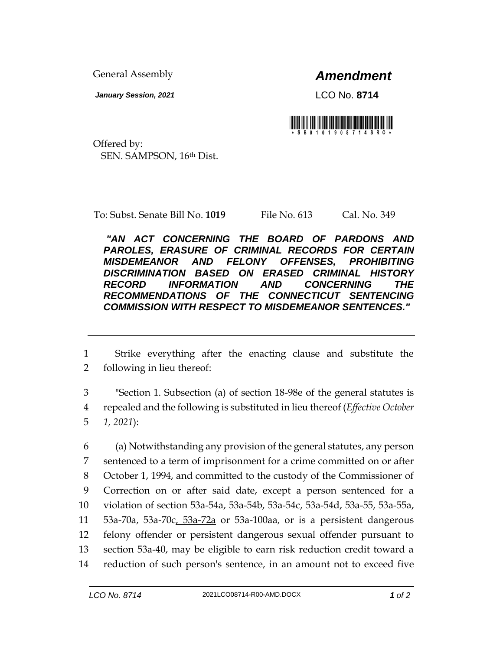General Assembly *Amendment*

*January Session, 2021* LCO No. **8714**



Offered by: SEN. SAMPSON, 16th Dist.

To: Subst. Senate Bill No. **1019** File No. 613 Cal. No. 349

*"AN ACT CONCERNING THE BOARD OF PARDONS AND PAROLES, ERASURE OF CRIMINAL RECORDS FOR CERTAIN MISDEMEANOR AND FELONY OFFENSES, PROHIBITING DISCRIMINATION BASED ON ERASED CRIMINAL HISTORY RECORD INFORMATION AND CONCERNING THE RECOMMENDATIONS OF THE CONNECTICUT SENTENCING COMMISSION WITH RESPECT TO MISDEMEANOR SENTENCES."* 

1 Strike everything after the enacting clause and substitute the 2 following in lieu thereof:

3 "Section 1. Subsection (a) of section 18-98e of the general statutes is 4 repealed and the following is substituted in lieu thereof (*Effective October*  5 *1, 2021*):

 (a) Notwithstanding any provision of the general statutes, any person sentenced to a term of imprisonment for a crime committed on or after October 1, 1994, and committed to the custody of the Commissioner of Correction on or after said date, except a person sentenced for a violation of section 53a-54a, 53a-54b, 53a-54c, 53a-54d, 53a-55, 53a-55a, 53a-70a, 53a-70c, 53a-72a or 53a-100aa, or is a persistent dangerous felony offender or persistent dangerous sexual offender pursuant to section 53a-40, may be eligible to earn risk reduction credit toward a reduction of such person's sentence, in an amount not to exceed five